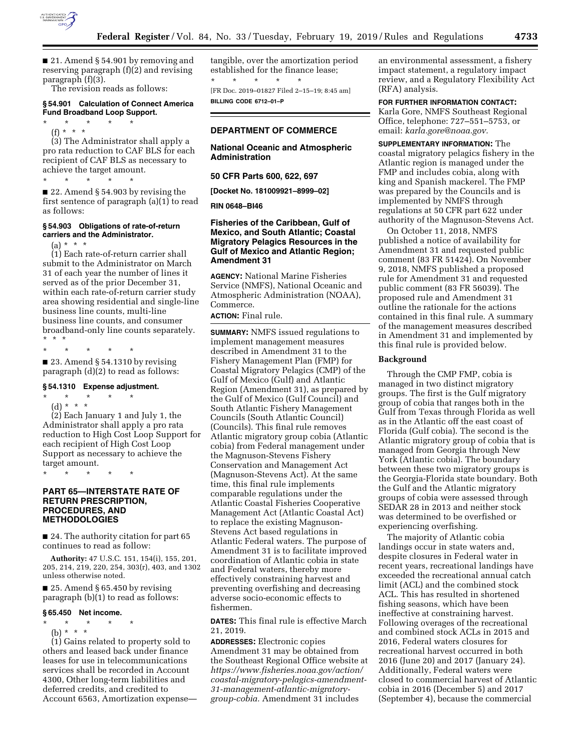

■ 21. Amend § 54.901 by removing and reserving paragraph (f)(2) and revising paragraph (f)(3).

The revision reads as follows:

## **§ 54.901 Calculation of Connect America Fund Broadband Loop Support.**

\* \* \* \* \*

(f) \* \* \*

(3) The Administrator shall apply a pro rata reduction to CAF BLS for each recipient of CAF BLS as necessary to achieve the target amount.

\* \* \* \* \*

■ 22. Amend § 54.903 by revising the first sentence of paragraph (a)(1) to read as follows:

## **§ 54.903 Obligations of rate-of-return carriers and the Administrator.**

(a) \* \* \*

(1) Each rate-of-return carrier shall submit to the Administrator on March 31 of each year the number of lines it served as of the prior December 31, within each rate-of-return carrier study area showing residential and single-line business line counts, multi-line business line counts, and consumer broadband-only line counts separately.<br>\* \* \* \* \* \* \*

\* \* \* \* \*

 $\blacksquare$  23. Amend § 54.1310 by revising paragraph (d)(2) to read as follows:

## **§ 54.1310 Expense adjustment.**

\* \* \* \* \* (d) \* \* \*

(2) Each January 1 and July 1, the Administrator shall apply a pro rata reduction to High Cost Loop Support for each recipient of High Cost Loop Support as necessary to achieve the target amount.

\* \* \* \* \*

## **PART 65—INTERSTATE RATE OF RETURN PRESCRIPTION, PROCEDURES, AND METHODOLOGIES**

■ 24. The authority citation for part 65 continues to read as follow:

**Authority:** 47 U.S.C. 151, 154(i), 155, 201, 205, 214, 219, 220, 254, 303(r), 403, and 1302 unless otherwise noted.

■ 25. Amend § 65.450 by revising paragraph (b)(1) to read as follows:

## **§ 65.450 Net income.**

- \* \* \* \* \*
- (b) \* \* \*

(1) Gains related to property sold to others and leased back under finance leases for use in telecommunications services shall be recorded in Account 4300, Other long-term liabilities and deferred credits, and credited to Account 6563, Amortization expensetangible, over the amortization period established for the finance lease; \* \* \* \* \* [FR Doc. 2019–01827 Filed 2–15–19; 8:45 am]

**BILLING CODE 6712–01–P** 

# **DEPARTMENT OF COMMERCE**

## **National Oceanic and Atmospheric Administration**

**50 CFR Parts 600, 622, 697** 

**[Docket No. 181009921–8999–02]** 

### **RIN 0648–BI46**

## **Fisheries of the Caribbean, Gulf of Mexico, and South Atlantic; Coastal Migratory Pelagics Resources in the Gulf of Mexico and Atlantic Region; Amendment 31**

**AGENCY:** National Marine Fisheries Service (NMFS), National Oceanic and Atmospheric Administration (NOAA), Commerce.

## **ACTION:** Final rule.

**SUMMARY:** NMFS issued regulations to implement management measures described in Amendment 31 to the Fishery Management Plan (FMP) for Coastal Migratory Pelagics (CMP) of the Gulf of Mexico (Gulf) and Atlantic Region (Amendment 31), as prepared by the Gulf of Mexico (Gulf Council) and South Atlantic Fishery Management Councils (South Atlantic Council) (Councils). This final rule removes Atlantic migratory group cobia (Atlantic cobia) from Federal management under the Magnuson-Stevens Fishery Conservation and Management Act (Magnuson-Stevens Act). At the same time, this final rule implements comparable regulations under the Atlantic Coastal Fisheries Cooperative Management Act (Atlantic Coastal Act) to replace the existing Magnuson-Stevens Act based regulations in Atlantic Federal waters. The purpose of Amendment 31 is to facilitate improved coordination of Atlantic cobia in state and Federal waters, thereby more effectively constraining harvest and preventing overfishing and decreasing adverse socio-economic effects to fishermen.

**DATES:** This final rule is effective March 21, 2019.

**ADDRESSES:** Electronic copies Amendment 31 may be obtained from the Southeast Regional Office website at *[https://www.fisheries.noaa.gov/action/](https://www.fisheries.noaa.gov/action/coastal-migratory-pelagics-amendment-31-management-atlantic-migratory-group-cobia)  [coastal-migratory-pelagics-amendment-](https://www.fisheries.noaa.gov/action/coastal-migratory-pelagics-amendment-31-management-atlantic-migratory-group-cobia)[31-management-atlantic-migratory](https://www.fisheries.noaa.gov/action/coastal-migratory-pelagics-amendment-31-management-atlantic-migratory-group-cobia)[group-cobia.](https://www.fisheries.noaa.gov/action/coastal-migratory-pelagics-amendment-31-management-atlantic-migratory-group-cobia)* Amendment 31 includes

an environmental assessment, a fishery impact statement, a regulatory impact review, and a Regulatory Flexibility Act (RFA) analysis.

#### **FOR FURTHER INFORMATION CONTACT:**  Karla Gore, NMFS Southeast Regional

Office, telephone: 727–551–5753, or email: *[karla.gore@noaa.gov.](mailto:karla.gore@noaa.gov)* 

**SUPPLEMENTARY INFORMATION:** The coastal migratory pelagics fishery in the Atlantic region is managed under the FMP and includes cobia, along with king and Spanish mackerel. The FMP was prepared by the Councils and is implemented by NMFS through regulations at 50 CFR part 622 under authority of the Magnuson-Stevens Act.

On October 11, 2018, NMFS published a notice of availability for Amendment 31 and requested public comment (83 FR 51424). On November 9, 2018, NMFS published a proposed rule for Amendment 31 and requested public comment (83 FR 56039). The proposed rule and Amendment 31 outline the rationale for the actions contained in this final rule. A summary of the management measures described in Amendment 31 and implemented by this final rule is provided below.

## **Background**

Through the CMP FMP, cobia is managed in two distinct migratory groups. The first is the Gulf migratory group of cobia that ranges both in the Gulf from Texas through Florida as well as in the Atlantic off the east coast of Florida (Gulf cobia). The second is the Atlantic migratory group of cobia that is managed from Georgia through New York (Atlantic cobia). The boundary between these two migratory groups is the Georgia-Florida state boundary. Both the Gulf and the Atlantic migratory groups of cobia were assessed through SEDAR 28 in 2013 and neither stock was determined to be overfished or experiencing overfishing.

The majority of Atlantic cobia landings occur in state waters and, despite closures in Federal water in recent years, recreational landings have exceeded the recreational annual catch limit (ACL) and the combined stock ACL. This has resulted in shortened fishing seasons, which have been ineffective at constraining harvest. Following overages of the recreational and combined stock ACLs in 2015 and 2016, Federal waters closures for recreational harvest occurred in both 2016 (June 20) and 2017 (January 24). Additionally, Federal waters were closed to commercial harvest of Atlantic cobia in 2016 (December 5) and 2017 (September 4), because the commercial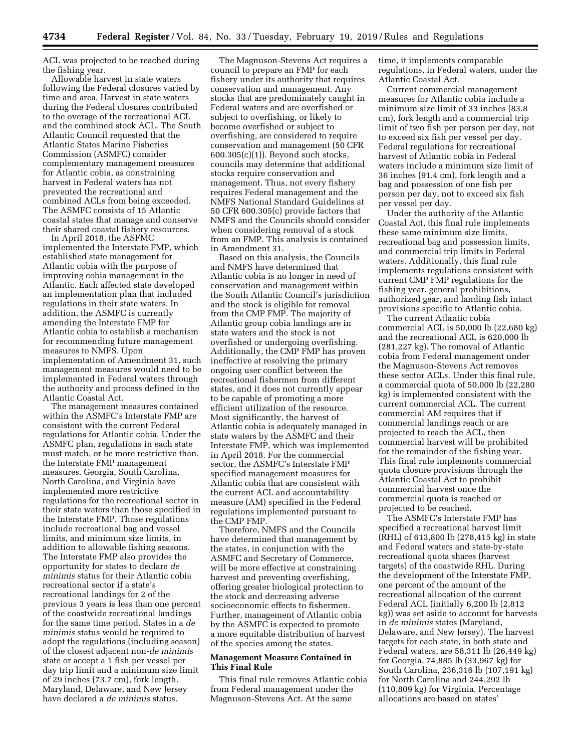ACL was projected to be reached during the fishing year.

Allowable harvest in state waters following the Federal closures varied by time and area. Harvest in state waters during the Federal closures contributed to the overage of the recreational ACL and the combined stock ACL. The South Atlantic Council requested that the Atlantic States Marine Fisheries Commission (ASMFC) consider complementary management measures for Atlantic cobia, as constraining harvest in Federal waters has not prevented the recreational and combined ACLs from being exceeded. The ASMFC consists of 15 Atlantic coastal states that manage and conserve their shared coastal fishery resources.

In April 2018, the ASFMC implemented the Interstate FMP, which established state management for Atlantic cobia with the purpose of improving cobia management in the Atlantic. Each affected state developed an implementation plan that included regulations in their state waters. In addition, the ASMFC is currently amending the Interstate FMP for Atlantic cobia to establish a mechanism for recommending future management measures to NMFS. Upon implementation of Amendment 31, such management measures would need to be implemented in Federal waters through the authority and process defined in the Atlantic Coastal Act.

The management measures contained within the ASMFC's Interstate FMP are consistent with the current Federal regulations for Atlantic cobia. Under the ASMFC plan, regulations in each state must match, or be more restrictive than, the Interstate FMP management measures. Georgia, South Carolina, North Carolina, and Virginia have implemented more restrictive regulations for the recreational sector in their state waters than those specified in the Interstate FMP. Those regulations include recreational bag and vessel limits, and minimum size limits, in addition to allowable fishing seasons. The Interstate FMP also provides the opportunity for states to declare *de minimis* status for their Atlantic cobia recreational sector if a state's recreational landings for 2 of the previous 3 years is less than one percent of the coastwide recreational landings for the same time period. States in a *de minimis* status would be required to adopt the regulations (including season) of the closest adjacent non-*de minimis*  state or accept a 1 fish per vessel per day trip limit and a minimum size limit of 29 inches (73.7 cm), fork length. Maryland, Delaware, and New Jersey have declared a *de minimis* status.

The Magnuson-Stevens Act requires a council to prepare an FMP for each fishery under its authority that requires conservation and management. Any stocks that are predominately caught in Federal waters and are overfished or subject to overfishing, or likely to become overfished or subject to overfishing, are considered to require conservation and management (50 CFR 600.305(c)(1)). Beyond such stocks, councils may determine that additional stocks require conservation and management. Thus, not every fishery requires Federal management and the NMFS National Standard Guidelines at 50 CFR 600.305(c) provide factors that NMFS and the Councils should consider when considering removal of a stock from an FMP. This analysis is contained in Amendment 31.

Based on this analysis, the Councils and NMFS have determined that Atlantic cobia is no longer in need of conservation and management within the South Atlantic Council's jurisdiction and the stock is eligible for removal from the CMP FMP. The majority of Atlantic group cobia landings are in state waters and the stock is not overfished or undergoing overfishing. Additionally, the CMP FMP has proven ineffective at resolving the primary ongoing user conflict between the recreational fishermen from different states, and it does not currently appear to be capable of promoting a more efficient utilization of the resource. Most significantly, the harvest of Atlantic cobia is adequately managed in state waters by the ASMFC and their Interstate FMP, which was implemented in April 2018. For the commercial sector, the ASMFC's Interstate FMP specified management measures for Atlantic cobia that are consistent with the current ACL and accountability measure (AM) specified in the Federal regulations implemented pursuant to the CMP FMP.

Therefore, NMFS and the Councils have determined that management by the states, in conjunction with the ASMFC and Secretary of Commerce, will be more effective at constraining harvest and preventing overfishing, offering greater biological protection to the stock and decreasing adverse socioeconomic effects to fishermen. Further, management of Atlantic cobia by the ASMFC is expected to promote a more equitable distribution of harvest of the species among the states.

## **Management Measure Contained in This Final Rule**

This final rule removes Atlantic cobia from Federal management under the Magnuson-Stevens Act. At the same

time, it implements comparable regulations, in Federal waters, under the Atlantic Coastal Act.

Current commercial management measures for Atlantic cobia include a minimum size limit of 33 inches (83.8 cm), fork length and a commercial trip limit of two fish per person per day, not to exceed six fish per vessel per day. Federal regulations for recreational harvest of Atlantic cobia in Federal waters include a minimum size limit of 36 inches (91.4 cm), fork length and a bag and possession of one fish per person per day, not to exceed six fish per vessel per day.

Under the authority of the Atlantic Coastal Act, this final rule implements these same minimum size limits, recreational bag and possession limits, and commercial trip limits in Federal waters. Additionally, this final rule implements regulations consistent with current CMP FMP regulations for the fishing year, general prohibitions, authorized gear, and landing fish intact provisions specific to Atlantic cobia.

The current Atlantic cobia commercial ACL is 50,000 lb (22,680 kg) and the recreational ACL is 620,000 lb (281,227 kg). The removal of Atlantic cobia from Federal management under the Magnuson-Stevens Act removes these sector ACLs. Under this final rule, a commercial quota of 50,000 lb (22,280 kg) is implemented consistent with the current commercial ACL. The current commercial AM requires that if commercial landings reach or are projected to reach the ACL, then commercial harvest will be prohibited for the remainder of the fishing year. This final rule implements commercial quota closure provisions through the Atlantic Coastal Act to prohibit commercial harvest once the commercial quota is reached or projected to be reached.

The ASMFC's Interstate FMP has specified a recreational harvest limit (RHL) of 613,800 lb (278,415 kg) in state and Federal waters and state-by-state recreational quota shares (harvest targets) of the coastwide RHL. During the development of the Interstate FMP, one percent of the amount of the recreational allocation of the current Federal ACL (initially 6,200 lb (2,812 kg)) was set aside to account for harvests in *de minimis* states (Maryland, Delaware, and New Jersey). The harvest targets for each state, in both state and Federal waters, are 58,311 lb (26,449 kg) for Georgia, 74,885 lb (33,967 kg) for South Carolina, 236,316 lb (107,191 kg) for North Carolina and 244,292 lb (110,809 kg) for Virginia. Percentage allocations are based on states'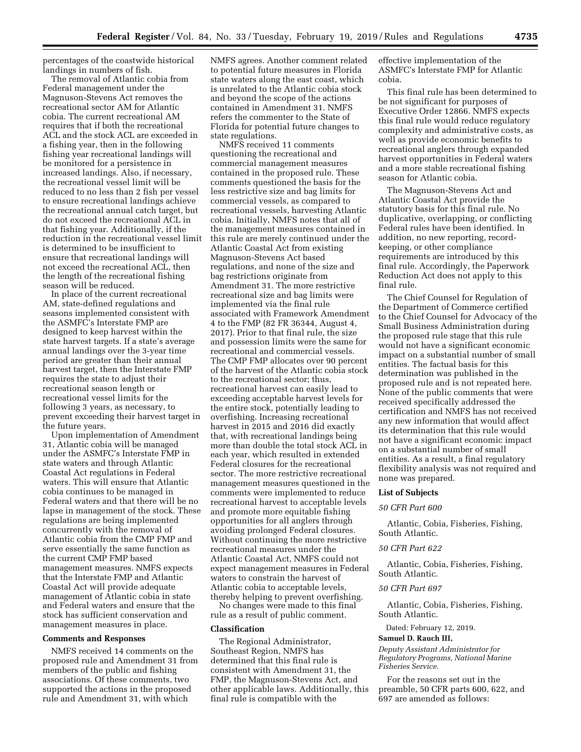percentages of the coastwide historical landings in numbers of fish.

The removal of Atlantic cobia from Federal management under the Magnuson-Stevens Act removes the recreational sector AM for Atlantic cobia. The current recreational AM requires that if both the recreational ACL and the stock ACL are exceeded in a fishing year, then in the following fishing year recreational landings will be monitored for a persistence in increased landings. Also, if necessary, the recreational vessel limit will be reduced to no less than 2 fish per vessel to ensure recreational landings achieve the recreational annual catch target, but do not exceed the recreational ACL in that fishing year. Additionally, if the reduction in the recreational vessel limit is determined to be insufficient to ensure that recreational landings will not exceed the recreational ACL, then the length of the recreational fishing season will be reduced.

In place of the current recreational AM, state-defined regulations and seasons implemented consistent with the ASMFC's Interstate FMP are designed to keep harvest within the state harvest targets. If a state's average annual landings over the 3-year time period are greater than their annual harvest target, then the Interstate FMP requires the state to adjust their recreational season length or recreational vessel limits for the following 3 years, as necessary, to prevent exceeding their harvest target in the future years.

Upon implementation of Amendment 31, Atlantic cobia will be managed under the ASMFC's Interstate FMP in state waters and through Atlantic Coastal Act regulations in Federal waters. This will ensure that Atlantic cobia continues to be managed in Federal waters and that there will be no lapse in management of the stock. These regulations are being implemented concurrently with the removal of Atlantic cobia from the CMP FMP and serve essentially the same function as the current CMP FMP based management measures. NMFS expects that the Interstate FMP and Atlantic Coastal Act will provide adequate management of Atlantic cobia in state and Federal waters and ensure that the stock has sufficient conservation and management measures in place.

### **Comments and Responses**

NMFS received 14 comments on the proposed rule and Amendment 31 from members of the public and fishing associations. Of these comments, two supported the actions in the proposed rule and Amendment 31, with which

NMFS agrees. Another comment related to potential future measures in Florida state waters along the east coast, which is unrelated to the Atlantic cobia stock and beyond the scope of the actions contained in Amendment 31. NMFS refers the commenter to the State of Florida for potential future changes to state regulations.

NMFS received 11 comments questioning the recreational and commercial management measures contained in the proposed rule. These comments questioned the basis for the less restrictive size and bag limits for commercial vessels, as compared to recreational vessels, harvesting Atlantic cobia. Initially, NMFS notes that all of the management measures contained in this rule are merely continued under the Atlantic Coastal Act from existing Magnuson-Stevens Act based regulations, and none of the size and bag restrictions originate from Amendment 31. The more restrictive recreational size and bag limits were implemented via the final rule associated with Framework Amendment 4 to the FMP (82 FR 36344, August 4, 2017). Prior to that final rule, the size and possession limits were the same for recreational and commercial vessels. The CMP FMP allocates over 90 percent of the harvest of the Atlantic cobia stock to the recreational sector; thus, recreational harvest can easily lead to exceeding acceptable harvest levels for the entire stock, potentially leading to overfishing. Increasing recreational harvest in 2015 and 2016 did exactly that, with recreational landings being more than double the total stock ACL in each year, which resulted in extended Federal closures for the recreational sector. The more restrictive recreational management measures questioned in the comments were implemented to reduce recreational harvest to acceptable levels and promote more equitable fishing opportunities for all anglers through avoiding prolonged Federal closures. Without continuing the more restrictive recreational measures under the Atlantic Coastal Act, NMFS could not expect management measures in Federal waters to constrain the harvest of Atlantic cobia to acceptable levels, thereby helping to prevent overfishing.

No changes were made to this final rule as a result of public comment.

#### **Classification**

The Regional Administrator, Southeast Region, NMFS has determined that this final rule is consistent with Amendment 31, the FMP, the Magnuson-Stevens Act, and other applicable laws. Additionally, this final rule is compatible with the

effective implementation of the ASMFC's Interstate FMP for Atlantic cobia.

This final rule has been determined to be not significant for purposes of Executive Order 12866. NMFS expects this final rule would reduce regulatory complexity and administrative costs, as well as provide economic benefits to recreational anglers through expanded harvest opportunities in Federal waters and a more stable recreational fishing season for Atlantic cobia.

The Magnuson-Stevens Act and Atlantic Coastal Act provide the statutory basis for this final rule. No duplicative, overlapping, or conflicting Federal rules have been identified. In addition, no new reporting, recordkeeping, or other compliance requirements are introduced by this final rule. Accordingly, the Paperwork Reduction Act does not apply to this final rule.

The Chief Counsel for Regulation of the Department of Commerce certified to the Chief Counsel for Advocacy of the Small Business Administration during the proposed rule stage that this rule would not have a significant economic impact on a substantial number of small entities. The factual basis for this determination was published in the proposed rule and is not repeated here. None of the public comments that were received specifically addressed the certification and NMFS has not received any new information that would affect its determination that this rule would not have a significant economic impact on a substantial number of small entities. As a result, a final regulatory flexibility analysis was not required and none was prepared.

#### **List of Subjects**

## *50 CFR Part 600*

Atlantic, Cobia, Fisheries, Fishing, South Atlantic.

#### *50 CFR Part 622*

Atlantic, Cobia, Fisheries, Fishing, South Atlantic.

### *50 CFR Part 697*

Atlantic, Cobia, Fisheries, Fishing, South Atlantic.

Dated: February 12, 2019.

## **Samuel D. Rauch III,**

*Deputy Assistant Administrator for Regulatory Programs, National Marine Fisheries Service.* 

For the reasons set out in the preamble, 50 CFR parts 600, 622, and 697 are amended as follows: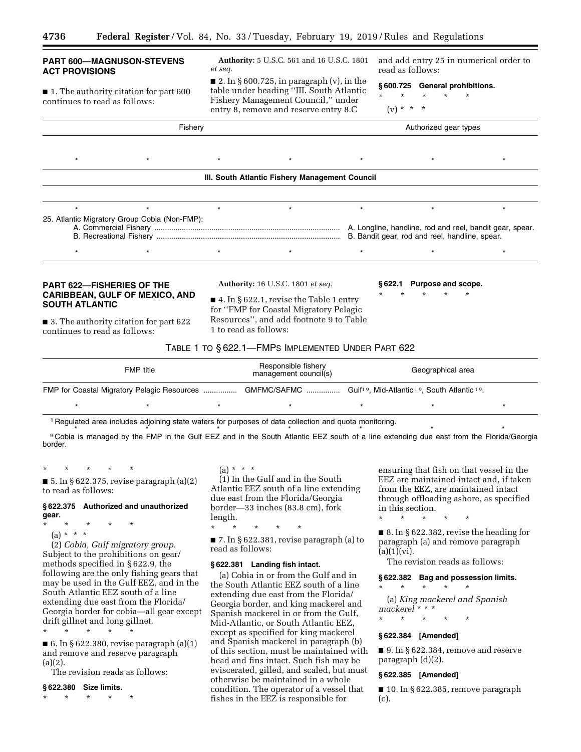## **PART 600—MAGNUSON-STEVENS ACT PROVISIONS**

■ 1. The authority citation for part 600 continues to read as follows:

**Authority:** 5 U.S.C. 561 and 16 U.S.C. 1801 *et seq.* 

■ 2. In § 600.725, in paragraph (v), in the table under heading ''III. South Atlantic Fishery Management Council,'' under entry 8, remove and reserve entry 8.C

and add entry 25 in numerical order to read as follows:

**§ 600.725 General prohibitions.**  \* \* \* \* \*

(v) \* \* \*

Fishery **Authorized gear types** Authorized gear types \*\*\*\*\*\*\* **III. South Atlantic Fishery Management Council**  \*\*\*\*\*\*\* 25. Atlantic Migratory Group Cobia (Non-FMP): A. Commercial Fishery ........................................................................................ A. Longline, handline, rod and reel, bandit gear, spear. B. Recreational Fishery ....................................................................................... B. Bandit gear, rod and reel, handline, spear. \*\*\*\*\*\*\* **PART 622—FISHERIES OF THE CARIBBEAN, GULF OF MEXICO, AND SOUTH ATLANTIC**  ■ 3. The authority citation for part 622 continues to read as follows: **Authority:** 16 U.S.C. 1801 *et seq.*   $\blacksquare$  4. In § 622.1, revise the Table 1 entry for ''FMP for Coastal Migratory Pelagic Resources'', and add footnote 9 to Table 1 to read as follows: **§ 622.1 Purpose and scope.**  \* \* \* \* \* TABLE 1 TO § 622.1—FMPS IMPLEMENTED UNDER PART 622 FMP title Responsible fishery mesponsible itsitely<br>
management council(s) Geographical area FMP for Coastal Migratory Pelagic Resources .................. GMFMC/SAFMC ................. Gulf<sup>19</sup>, Mid-Atlantic <sup>19</sup>, South Atlantic <sup>19</sup>.

1 Regulated area includes adjoining state waters for purposes of data collection and quota monitoring.

<sup>9</sup> Cobia is managed by the FMP in the Gulf EEZ and in the South Atlantic EEZ south of a line extending due east from the Florida/Georgia border.

\* \* \* \* \* \* \* \* \* \* \* \* \* \* \*

\* \* \* \* \*

■ 5. In § 622.375, revise paragraph  $(a)(2)$ to read as follows:

#### **§ 622.375 Authorized and unauthorized gear.**

- \* \* \* \* \*
	- (a) \* \* \*

(2) *Cobia, Gulf migratory group.*  Subject to the prohibitions on gear/ methods specified in § 622.9, the following are the only fishing gears that may be used in the Gulf EEZ, and in the South Atlantic EEZ south of a line extending due east from the Florida/ Georgia border for cobia—all gear except drift gillnet and long gillnet.

\* \* \* \* \*

 $\blacksquare$  6. In § 622.380, revise paragraph (a)(1) and remove and reserve paragraph (a)(2).

The revision reads as follows:

#### **§ 622.380 Size limits.**

\* \* \* \* \*

 $(a) * * * *$ 

(1) In the Gulf and in the South Atlantic EEZ south of a line extending due east from the Florida/Georgia border—33 inches (83.8 cm), fork length.

\* \* \* \* \*

■ 7. In § 622.381, revise paragraph (a) to read as follows:

## **§ 622.381 Landing fish intact.**

(a) Cobia in or from the Gulf and in the South Atlantic EEZ south of a line extending due east from the Florida/ Georgia border, and king mackerel and Spanish mackerel in or from the Gulf, Mid-Atlantic, or South Atlantic EEZ, except as specified for king mackerel and Spanish mackerel in paragraph (b) of this section, must be maintained with head and fins intact. Such fish may be eviscerated, gilled, and scaled, but must otherwise be maintained in a whole condition. The operator of a vessel that fishes in the EEZ is responsible for

ensuring that fish on that vessel in the EEZ are maintained intact and, if taken from the EEZ, are maintained intact through offloading ashore, as specified in this section.

\* \* \* \* \*

■ 8. In § 622.382, revise the heading for paragraph (a) and remove paragraph  $(a)(1)(vi).$ 

The revision reads as follows:

# **§ 622.382 Bag and possession limits.**

(a) *King mackerel and Spanish mackerel* \* \* \*

\* \* \* \* \*

\* \* \* \* \*

## **§ 622.384 [Amended]**

■ 9. In § 622.384, remove and reserve paragraph (d)(2).

### **§ 622.385 [Amended]**

 $\blacksquare$  10. In § 622.385, remove paragraph (c).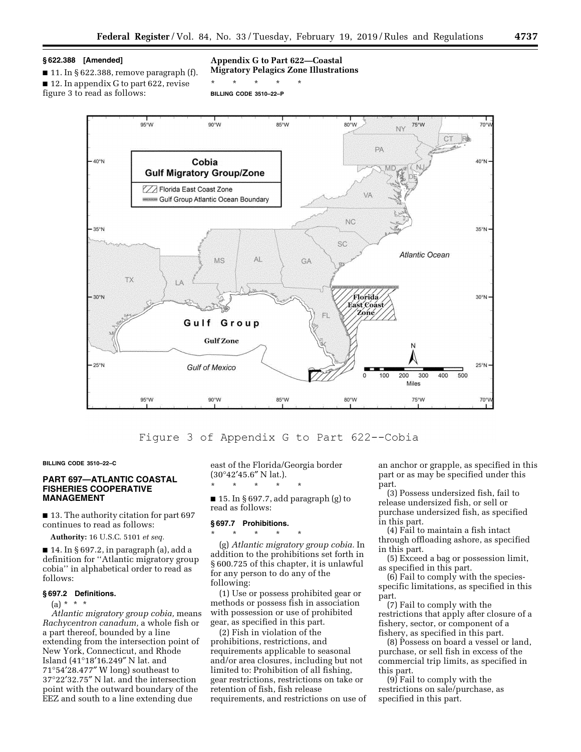# **§ 622.388 [Amended]**

 $\blacksquare$  11. In § 622.388, remove paragraph (f). ■ 12. In appendix G to part 622, revise figure 3 to read as follows:

### **Appendix G to Part 622—Coastal Migratory Pelagics Zone Illustrations**

\* \* \* \* \*

**BILLING CODE 3510–22–P** 



# Figure 3 of Appendix G to Part 622--Cobia

**BILLING CODE 3510–22–C** 

## **PART 697—ATLANTIC COASTAL FISHERIES COOPERATIVE MANAGEMENT**

■ 13. The authority citation for part 697 continues to read as follows:

**Authority:** 16 U.S.C. 5101 *et seq.* 

 $\blacksquare$  14. In § 697.2, in paragraph (a), add a definition for ''Atlantic migratory group cobia'' in alphabetical order to read as follows:

#### **§ 697.2 Definitions.**

 $(a) * * * *$ 

*Atlantic migratory group cobia,* means *Rachycentron canadum,* a whole fish or a part thereof, bounded by a line extending from the intersection point of New York, Connecticut, and Rhode Island (41°18′16.249″ N lat. and 71°54′28.477″ W long) southeast to 37°22′32.75″ N lat. and the intersection point with the outward boundary of the EEZ and south to a line extending due

east of the Florida/Georgia border (30°42′45.6″ N lat.).

 $\blacksquare$  15. In § 697.7, add paragraph (g) to read as follows:

#### **§ 697.7 Prohibitions.**

\* \* \* \* \*

\* \* \* \* \* (g) *Atlantic migratory group cobia.* In addition to the prohibitions set forth in § 600.725 of this chapter, it is unlawful for any person to do any of the following:

(1) Use or possess prohibited gear or methods or possess fish in association with possession or use of prohibited gear, as specified in this part.

(2) Fish in violation of the prohibitions, restrictions, and requirements applicable to seasonal and/or area closures, including but not limited to: Prohibition of all fishing, gear restrictions, restrictions on take or retention of fish, fish release requirements, and restrictions on use of

an anchor or grapple, as specified in this part or as may be specified under this part.

(3) Possess undersized fish, fail to release undersized fish, or sell or purchase undersized fish, as specified in this part.

(4) Fail to maintain a fish intact through offloading ashore, as specified in this part.

(5) Exceed a bag or possession limit, as specified in this part.

(6) Fail to comply with the speciesspecific limitations, as specified in this part.

(7) Fail to comply with the restrictions that apply after closure of a fishery, sector, or component of a fishery, as specified in this part.

(8) Possess on board a vessel or land, purchase, or sell fish in excess of the commercial trip limits, as specified in this part.

(9) Fail to comply with the restrictions on sale/purchase, as specified in this part.